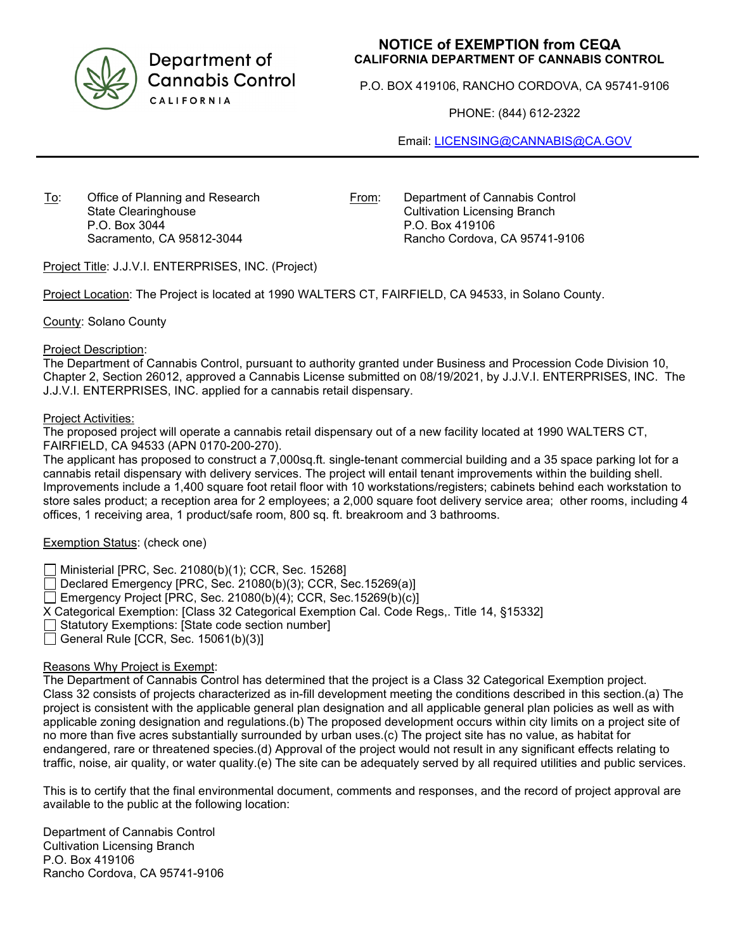

Department of **Cannabis Control** CALIFORNIA

# **NOTICE of EXEMPTION from CEQA CALIFORNIA DEPARTMENT OF CANNABIS CONTROL**

P.O. BOX 419106, RANCHO CORDOVA, CA 95741-9106

PHONE: (844) 612-2322

Email: [LICENSING@CANNABIS@CA.GOV](mailto:LICENSING@CANNABIS@CA.GOV)

To: Office of Planning and Research State Clearinghouse P.O. Box 3044 Sacramento, CA 95812-3044

From: Department of Cannabis Control Cultivation Licensing Branch P.O. Box 419106 Rancho Cordova, CA 95741-9106

Project Title: J.J.V.I. ENTERPRISES, INC. (Project)

Project Location: The Project is located at 1990 WALTERS CT, FAIRFIELD, CA 94533, in Solano County.

County: Solano County

### Project Description:

The Department of Cannabis Control, pursuant to authority granted under Business and Procession Code Division 10, Chapter 2, Section 26012, approved a Cannabis License submitted on 08/19/2021, by J.J.V.I. ENTERPRISES, INC. The J.J.V.I. ENTERPRISES, INC. applied for a cannabis retail dispensary.

### Project Activities:

The proposed project will operate a cannabis retail dispensary out of a new facility located at 1990 WALTERS CT, FAIRFIELD, CA 94533 (APN 0170-200-270).

The applicant has proposed to construct a 7,000sq.ft. single-tenant commercial building and a 35 space parking lot for a cannabis retail dispensary with delivery services. The project will entail tenant improvements within the building shell. Improvements include a 1,400 square foot retail floor with 10 workstations/registers; cabinets behind each workstation to store sales product; a reception area for 2 employees; a 2,000 square foot delivery service area; other rooms, including 4 offices, 1 receiving area, 1 product/safe room, 800 sq. ft. breakroom and 3 bathrooms.

# Exemption Status: (check one)

Ministerial [PRC, Sec. 21080(b)(1); CCR, Sec. 15268]

 $\Box$  Declared Emergency [PRC, Sec. 21080(b)(3); CCR, Sec. 15269(a)]

Emergency Project [PRC, Sec. 21080(b)(4); CCR, Sec. 15269(b)(c)]

X Categorical Exemption: [Class 32 Categorical Exemption Cal. Code Regs,. Title 14, §15332]

Statutory Exemptions: [State code section number]

 $\Box$  General Rule [CCR, Sec. 15061(b)(3)]

# Reasons Why Project is Exempt:

The Department of Cannabis Control has determined that the project is a Class 32 Categorical Exemption project. Class 32 consists of projects characterized as in-fill development meeting the conditions described in this section.(a) The project is consistent with the applicable general plan designation and all applicable general plan policies as well as with applicable zoning designation and regulations.(b) The proposed development occurs within city limits on a project site of no more than five acres substantially surrounded by urban uses.(c) The project site has no value, as habitat for endangered, rare or threatened species.(d) Approval of the project would not result in any significant effects relating to traffic, noise, air quality, or water quality.(e) The site can be adequately served by all required utilities and public services.

This is to certify that the final environmental document, comments and responses, and the record of project approval are available to the public at the following location:

Department of Cannabis Control Cultivation Licensing Branch P.O. Box 419106 Rancho Cordova, CA 95741-9106